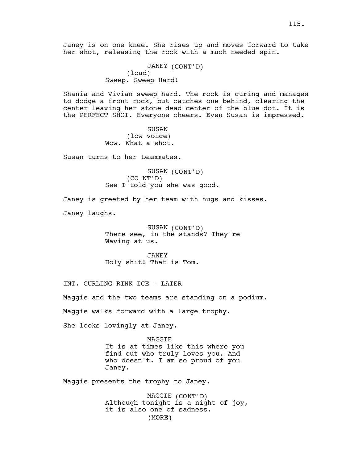JANEY (CONT'D) (loud) Sweep. Sweep Hard!

Shania and Vivian sweep hard. The rock is curing and manages to dodge a front rock, but catches one behind, clearing the center leaving her stone dead center of the blue dot. It is the PERFECT SHOT. Everyone cheers. Even Susan is impressed.

> SUSAN (low voice) Wow. What a shot.

Susan turns to her teammates.

SUSAN (CONT'D) (CO NT'D) See I told you she was good.

Janey is greeted by her team with hugs and kisses.

Janey laughs.

SUSAN (CONT'D) There see, in the stands? They're Waving at us.

JANEY Holy shit! That is Tom.

INT. CURLING RINK ICE - LATER

Maggie and the two teams are standing on a podium.

Maggie walks forward with a large trophy.

She looks lovingly at Janey.

MAGGIE It is at times like this where you find out who truly loves you. And who doesn't. I am so proud of you Janey.

Maggie presents the trophy to Janey.

(MORE) MAGGIE (CONT'D) Although tonight is a night of joy, it is also one of sadness.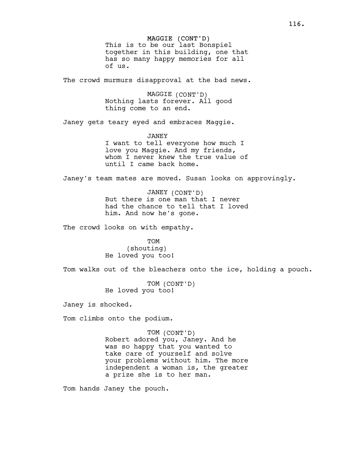The crowd murmurs disapproval at the bad news.

MAGGIE (CONT'D) Nothing lasts forever. All good thing come to an end.

Janey gets teary eyed and embraces Maggie.

JANEY I want to tell everyone how much I love you Maggie. And my friends, whom I never knew the true value of until I came back home.

Janey's team mates are moved. Susan looks on approvingly.

JANEY (CONT'D) But there is one man that I never had the chance to tell that I loved him. And now he's gone.

The crowd looks on with empathy.

TOM (shouting) He loved you too!

Tom walks out of the bleachers onto the ice, holding a pouch.

TOM (CONT'D) He loved you too!

Janey is shocked.

Tom climbs onto the podium.

TOM (CONT'D)

Robert adored you, Janey. And he was so happy that you wanted to take care of yourself and solve your problems without him. The more independent a woman is, the greater a prize she is to her man.

Tom hands Janey the pouch.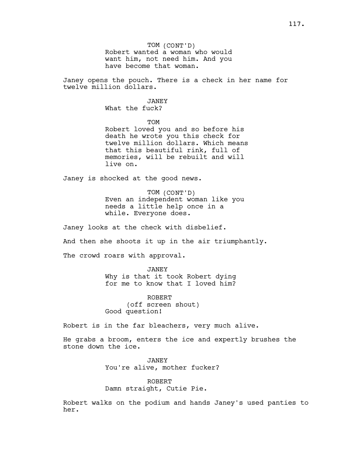Janey opens the pouch. There is a check in her name for twelve million dollars.

> JANEY What the fuck?

> > **TOM**

Robert loved you and so before his death he wrote you this check for twelve million dollars. Which means that this beautiful rink, full of memories, will be rebuilt and will live on.

Janey is shocked at the good news.

TOM (CONT'D) Even an independent woman like you needs a little help once in a while. Everyone does.

Janey looks at the check with disbelief.

And then she shoots it up in the air triumphantly.

The crowd roars with approval.

JANEY Why is that it took Robert dying for me to know that I loved him?

ROBERT (off screen shout) Good question!

Robert is in the far bleachers, very much alive.

He grabs a broom, enters the ice and expertly brushes the stone down the ice.

> JANEY You're alive, mother fucker?

ROBERT Damn straight, Cutie Pie.

Robert walks on the podium and hands Janey's used panties to her.